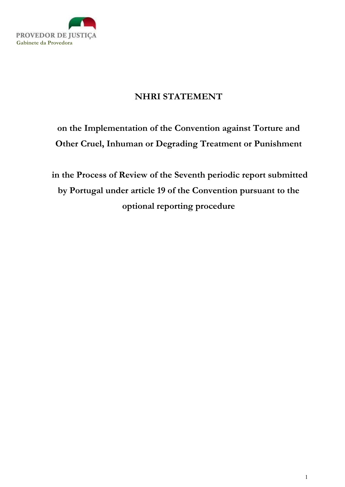

## NHRI STATEMENT

## on the Implementation of the Convention against Torture and Other Cruel, Inhuman or Degrading Treatment or Punishment

 in the Process of Review of the Seventh periodic report submitted by Portugal under article 19 of the Convention pursuant to the optional reporting procedure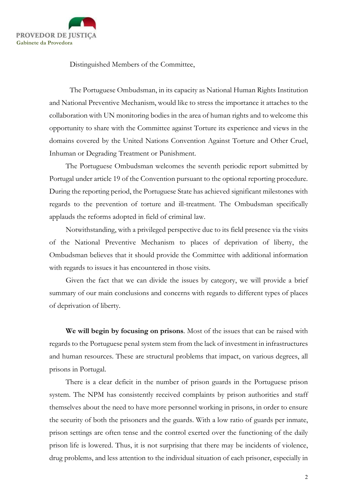

Distinguished Members of the Committee,

The Portuguese Ombudsman, in its capacity as National Human Rights Institution and National Preventive Mechanism, would like to stress the importance it attaches to the collaboration with UN monitoring bodies in the area of human rights and to welcome this opportunity to share with the Committee against Torture its experience and views in the domains covered by the United Nations Convention Against Torture and Other Cruel, Inhuman or Degrading Treatment or Punishment.

The Portuguese Ombudsman welcomes the seventh periodic report submitted by Portugal under article 19 of the Convention pursuant to the optional reporting procedure. During the reporting period, the Portuguese State has achieved significant milestones with regards to the prevention of torture and ill-treatment. The Ombudsman specifically applauds the reforms adopted in field of criminal law.

Notwithstanding, with a privileged perspective due to its field presence via the visits of the National Preventive Mechanism to places of deprivation of liberty, the Ombudsman believes that it should provide the Committee with additional information with regards to issues it has encountered in those visits.

Given the fact that we can divide the issues by category, we will provide a brief summary of our main conclusions and concerns with regards to different types of places of deprivation of liberty.

We will begin by focusing on prisons. Most of the issues that can be raised with regards to the Portuguese penal system stem from the lack of investment in infrastructures and human resources. These are structural problems that impact, on various degrees, all prisons in Portugal.

There is a clear deficit in the number of prison guards in the Portuguese prison system. The NPM has consistently received complaints by prison authorities and staff themselves about the need to have more personnel working in prisons, in order to ensure the security of both the prisoners and the guards. With a low ratio of guards per inmate, prison settings are often tense and the control exerted over the functioning of the daily prison life is lowered. Thus, it is not surprising that there may be incidents of violence, drug problems, and less attention to the individual situation of each prisoner, especially in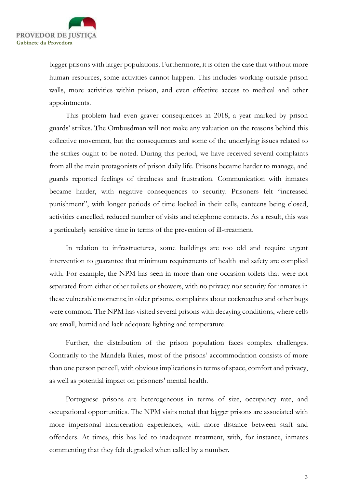

bigger prisons with larger populations. Furthermore, it is often the case that without more human resources, some activities cannot happen. This includes working outside prison walls, more activities within prison, and even effective access to medical and other appointments.

This problem had even graver consequences in 2018, a year marked by prison guards' strikes. The Ombusdman will not make any valuation on the reasons behind this collective movement, but the consequences and some of the underlying issues related to the strikes ought to be noted. During this period, we have received several complaints from all the main protagonists of prison daily life. Prisons became harder to manage, and guards reported feelings of tiredness and frustration. Communication with inmates became harder, with negative consequences to security. Prisoners felt "increased punishment", with longer periods of time locked in their cells, canteens being closed, activities cancelled, reduced number of visits and telephone contacts. As a result, this was a particularly sensitive time in terms of the prevention of ill-treatment.

In relation to infrastructures, some buildings are too old and require urgent intervention to guarantee that minimum requirements of health and safety are complied with. For example, the NPM has seen in more than one occasion toilets that were not separated from either other toilets or showers, with no privacy nor security for inmates in these vulnerable moments; in older prisons, complaints about cockroaches and other bugs were common. The NPM has visited several prisons with decaying conditions, where cells are small, humid and lack adequate lighting and temperature.

Further, the distribution of the prison population faces complex challenges. Contrarily to the Mandela Rules, most of the prisons' accommodation consists of more than one person per cell, with obvious implications in terms of space, comfort and privacy, as well as potential impact on prisoners' mental health.

Portuguese prisons are heterogeneous in terms of size, occupancy rate, and occupational opportunities. The NPM visits noted that bigger prisons are associated with more impersonal incarceration experiences, with more distance between staff and offenders. At times, this has led to inadequate treatment, with, for instance, inmates commenting that they felt degraded when called by a number.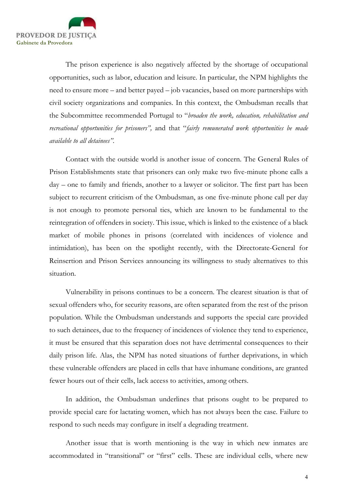

The prison experience is also negatively affected by the shortage of occupational opportunities, such as labor, education and leisure. In particular, the NPM highlights the need to ensure more – and better payed – job vacancies, based on more partnerships with civil society organizations and companies. In this context, the Ombudsman recalls that the Subcommittee recommended Portugal to "broaden the work, education, rehabilitation and recreational opportunities for prisoners", and that "fairly remunerated work opportunities be made available to all detainees".

Contact with the outside world is another issue of concern. The General Rules of Prison Establishments state that prisoners can only make two five-minute phone calls a day – one to family and friends, another to a lawyer or solicitor. The first part has been subject to recurrent criticism of the Ombudsman, as one five-minute phone call per day is not enough to promote personal ties, which are known to be fundamental to the reintegration of offenders in society. This issue, which is linked to the existence of a black market of mobile phones in prisons (correlated with incidences of violence and intimidation), has been on the spotlight recently, with the Directorate-General for Reinsertion and Prison Services announcing its willingness to study alternatives to this situation.

Vulnerability in prisons continues to be a concern. The clearest situation is that of sexual offenders who, for security reasons, are often separated from the rest of the prison population. While the Ombudsman understands and supports the special care provided to such detainees, due to the frequency of incidences of violence they tend to experience, it must be ensured that this separation does not have detrimental consequences to their daily prison life. Alas, the NPM has noted situations of further deprivations, in which these vulnerable offenders are placed in cells that have inhumane conditions, are granted fewer hours out of their cells, lack access to activities, among others.

In addition, the Ombudsman underlines that prisons ought to be prepared to provide special care for lactating women, which has not always been the case. Failure to respond to such needs may configure in itself a degrading treatment.

Another issue that is worth mentioning is the way in which new inmates are accommodated in "transitional" or "first" cells. These are individual cells, where new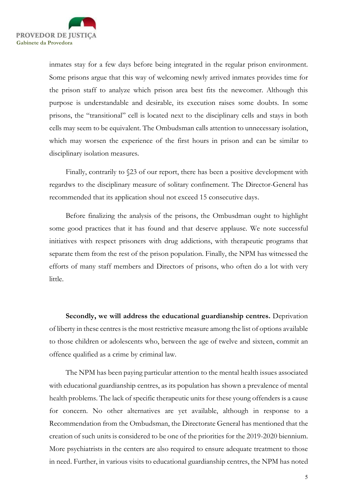

inmates stay for a few days before being integrated in the regular prison environment. Some prisons argue that this way of welcoming newly arrived inmates provides time for the prison staff to analyze which prison area best fits the newcomer. Although this purpose is understandable and desirable, its execution raises some doubts. In some prisons, the "transitional" cell is located next to the disciplinary cells and stays in both cells may seem to be equivalent. The Ombudsman calls attention to unnecessary isolation, which may worsen the experience of the first hours in prison and can be similar to disciplinary isolation measures.

Finally, contrarily to §23 of our report, there has been a positive development with regardws to the disciplinary measure of solitary confinement. The Director-General has recommended that its application shoul not exceed 15 consecutive days.

Before finalizing the analysis of the prisons, the Ombusdman ought to highlight some good practices that it has found and that deserve applause. We note successful initiatives with respect prisoners with drug addictions, with therapeutic programs that separate them from the rest of the prison population. Finally, the NPM has witnessed the efforts of many staff members and Directors of prisons, who often do a lot with very little.

Secondly, we will address the educational guardianship centres. Deprivation of liberty in these centres is the most restrictive measure among the list of options available to those children or adolescents who, between the age of twelve and sixteen, commit an offence qualified as a crime by criminal law.

The NPM has been paying particular attention to the mental health issues associated with educational guardianship centres, as its population has shown a prevalence of mental health problems. The lack of specific therapeutic units for these young offenders is a cause for concern. No other alternatives are yet available, although in response to a Recommendation from the Ombudsman, the Directorate General has mentioned that the creation of such units is considered to be one of the priorities for the 2019-2020 biennium. More psychiatrists in the centers are also required to ensure adequate treatment to those in need. Further, in various visits to educational guardianship centres, the NPM has noted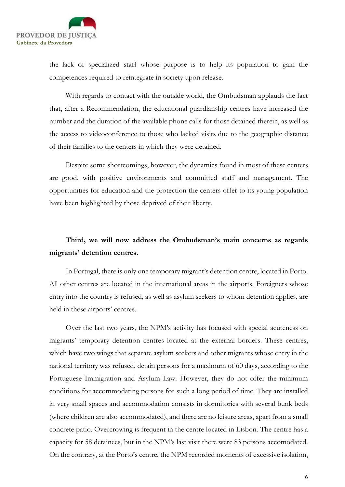

the lack of specialized staff whose purpose is to help its population to gain the competences required to reintegrate in society upon release.

With regards to contact with the outside world, the Ombudsman applauds the fact that, after a Recommendation, the educational guardianship centres have increased the number and the duration of the available phone calls for those detained therein, as well as the access to videoconference to those who lacked visits due to the geographic distance of their families to the centers in which they were detained.

Despite some shortcomings, however, the dynamics found in most of these centers are good, with positive environments and committed staff and management. The opportunities for education and the protection the centers offer to its young population have been highlighted by those deprived of their liberty.

## Third, we will now address the Ombudsman's main concerns as regards migrants' detention centres.

In Portugal, there is only one temporary migrant's detention centre, located in Porto. All other centres are located in the international areas in the airports. Foreigners whose entry into the country is refused, as well as asylum seekers to whom detention applies, are held in these airports' centres.

Over the last two years, the NPM's activity has focused with special acuteness on migrants' temporary detention centres located at the external borders. These centres, which have two wings that separate asylum seekers and other migrants whose entry in the national territory was refused, detain persons for a maximum of 60 days, according to the Portuguese Immigration and Asylum Law. However, they do not offer the minimum conditions for accommodating persons for such a long period of time. They are installed in very small spaces and accommodation consists in dormitories with several bunk beds (where children are also accommodated), and there are no leisure areas, apart from a small concrete patio. Overcrowing is frequent in the centre located in Lisbon. The centre has a capacity for 58 detainees, but in the NPM's last visit there were 83 persons accomodated. On the contrary, at the Porto's centre, the NPM recorded moments of excessive isolation,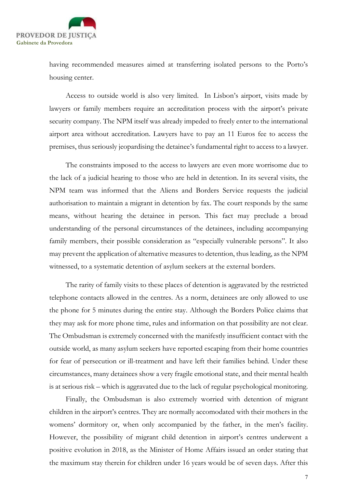

having recommended measures aimed at transferring isolated persons to the Porto's housing center.

Access to outside world is also very limited. In Lisbon's airport, visits made by lawyers or family members require an accreditation process with the airport's private security company. The NPM itself was already impeded to freely enter to the international airport area without accreditation. Lawyers have to pay an 11 Euros fee to access the premises, thus seriously jeopardising the detainee's fundamental right to access to a lawyer.

The constraints imposed to the access to lawyers are even more worrisome due to the lack of a judicial hearing to those who are held in detention. In its several visits, the NPM team was informed that the Aliens and Borders Service requests the judicial authorisation to maintain a migrant in detention by fax. The court responds by the same means, without hearing the detainee in person. This fact may preclude a broad understanding of the personal circumstances of the detainees, including accompanying family members, their possible consideration as "especially vulnerable persons". It also may prevent the application of alternative measures to detention, thus leading, as the NPM witnessed, to a systematic detention of asylum seekers at the external borders.

The rarity of family visits to these places of detention is aggravated by the restricted telephone contacts allowed in the centres. As a norm, detainees are only allowed to use the phone for 5 minutes during the entire stay. Although the Borders Police claims that they may ask for more phone time, rules and information on that possibility are not clear. The Ombudsman is extremely concerned with the manifestly insufficient contact with the outside world, as many asylum seekers have reported escaping from their home countries for fear of persecution or ill-treatment and have left their families behind. Under these circumstances, many detainees show a very fragile emotional state, and their mental health is at serious risk – which is aggravated due to the lack of regular psychological monitoring.

Finally, the Ombudsman is also extremely worried with detention of migrant children in the airport's centres. They are normally accomodated with their mothers in the womens' dormitory or, when only accompanied by the father, in the men's facility. However, the possibility of migrant child detention in airport's centres underwent a positive evolution in 2018, as the Minister of Home Affairs issued an order stating that the maximum stay therein for children under 16 years would be of seven days. After this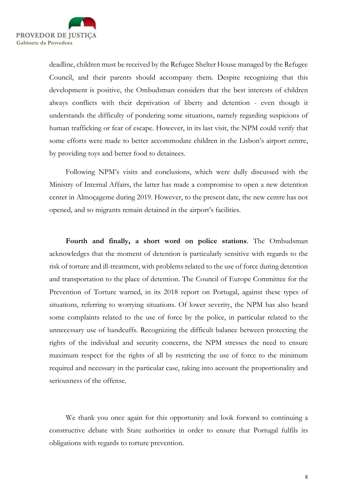

deadline, children must be received by the Refugee Shelter House managed by the Refugee Council, and their parents should accompany them. Despite recognizing that this development is positive, the Ombudsman considers that the best interests of children always conflicts with their deprivation of liberty and detention - even though it understands the difficulty of pondering some situations, namely regarding suspicions of human trafficking or fear of escape. However, in its last visit, the NPM could verify that some efforts were made to better accommodate children in the Lisbon's airport centre, by providing toys and better food to detainees.

Following NPM's visits and conclusions, which were dully discussed with the Ministry of Internal Affairs, the latter has made a compromise to open a new detention center in Almoçageme during 2019. However, to the present date, the new centre has not opened, and so migrants remain detained in the airport's facilities.

Fourth and finally, a short word on police stations. The Ombudsman acknowledges that the moment of detention is particularly sensitive with regards to the risk of torture and ill-treatment, with problems related to the use of force during detention and transportation to the place of detention. The Council of Europe Committee for the Prevention of Torture warned, in its 2018 report on Portugal, against these types of situations, referring to worrying situations. Of lower severity, the NPM has also heard some complaints related to the use of force by the police, in particular related to the unnecessary use of handcuffs. Recognizing the difficult balance between protecting the rights of the individual and security concerns, the NPM stresses the need to ensure maximum respect for the rights of all by restricting the use of force to the minimum required and necessary in the particular case, taking into account the proportionality and seriousness of the offense.

We thank you once again for this opportunity and look forward to continuing a constructive debate with State authorities in order to ensure that Portugal fulfils its obligations with regards to torture prevention.